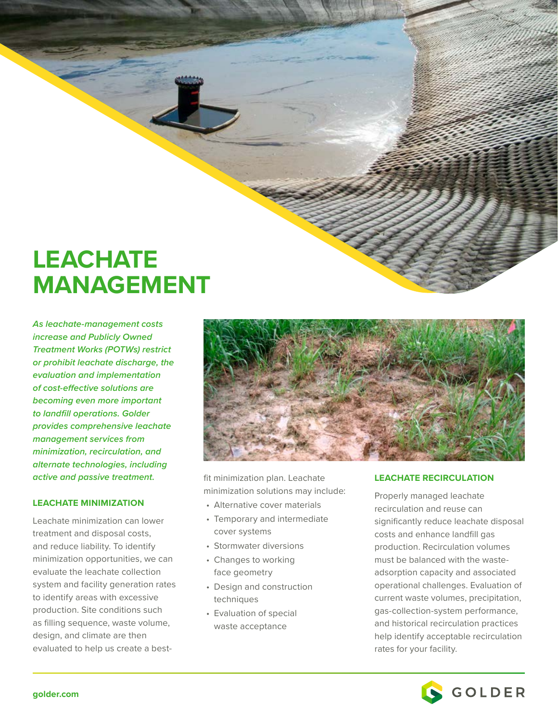# **LEACHATE MANAGEMENT**

*As leachate-management costs increase and Publicly Owned Treatment Works (POTWs) restrict or prohibit leachate discharge, the evaluation and implementation*  **of cost-effective solutions are**  *becoming even more important*  **to landfill operations. Golder**  *provides comprehensive leachate management services from minimization, recirculation, and alternate technologies, including*  **active and passive treatment.**

## **LEACHATE MINIMIZATION**

Leachate minimization can lower treatment and disposal costs, and reduce liability. To identify minimization opportunities, we can evaluate the leachate collection system and facility generation rates to identify areas with excessive production. Site conditions such as filling sequence, waste volume, design, and climate are then evaluated to help us create a best-



fit minimization plan. Leachate minimization solutions may include:

- Alternative cover materials
- Temporary and intermediate cover systems
- Stormwater diversions
- Changes to working face geometry
- Design and construction techniques
- Evaluation of special waste acceptance

# **LEACHATE RECIRCULATION**

Properly managed leachate recirculation and reuse can significantly reduce leachate disposal costs and enhance landfill gas production. Recirculation volumes must be balanced with the wasteadsorption capacity and associated operational challenges. Evaluation of current waste volumes, precipitation, gas-collection-system performance, and historical recirculation practices help identify acceptable recirculation rates for your facility.